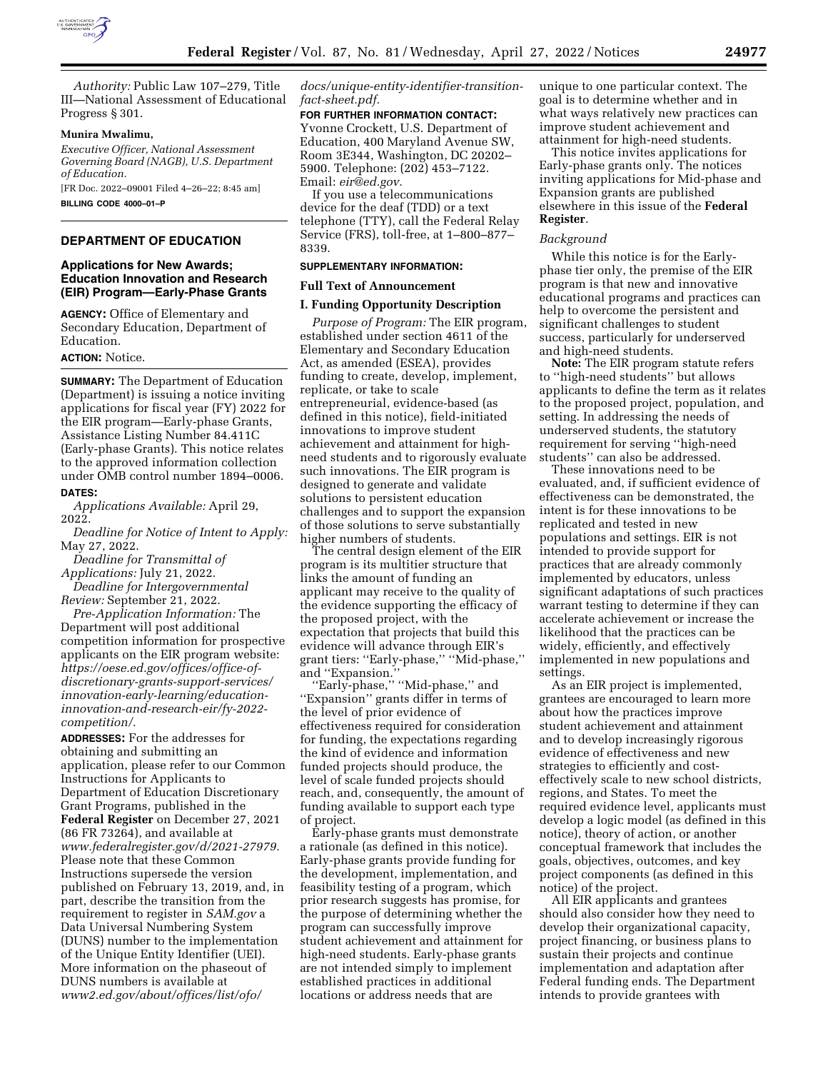

*Authority:* Public Law 107–279, Title III—National Assessment of Educational Progress § 301.

#### **Munira Mwalimu,**

*Executive Officer, National Assessment Governing Board (NAGB), U.S. Department of Education.* 

[FR Doc. 2022–09001 Filed 4–26–22; 8:45 am] **BILLING CODE 4000–01–P** 

# **DEPARTMENT OF EDUCATION**

### **Applications for New Awards; Education Innovation and Research (EIR) Program—Early-Phase Grants**

**AGENCY:** Office of Elementary and Secondary Education, Department of Education.

# **ACTION:** Notice.

**SUMMARY:** The Department of Education (Department) is issuing a notice inviting applications for fiscal year (FY) 2022 for the EIR program—Early-phase Grants, Assistance Listing Number 84.411C (Early-phase Grants). This notice relates to the approved information collection under OMB control number 1894–0006.

# **DATES:**

*Applications Available:* April 29, 2022.

*Deadline for Notice of Intent to Apply:*  May 27, 2022.

*Deadline for Transmittal of Applications:* July 21, 2022.

*Deadline for Intergovernmental Review:* September 21, 2022.

*Pre-Application Information:* The Department will post additional competition information for prospective applicants on the EIR program website: *https://oese.ed.gov/offices/office-of[discretionary-grants-support-services/](https://oese.ed.gov/offices/office-of-discretionary-grants-support-services/innovation-early-learning/education-innovation-and-research-eir/fy-2022-competition/)  innovation-early-learning/educationinnovation-and-research-eir/fy-2022 competition/.* 

**ADDRESSES:** For the addresses for obtaining and submitting an application, please refer to our Common Instructions for Applicants to Department of Education Discretionary Grant Programs, published in the **Federal Register** on December 27, 2021 (86 FR 73264), and available at *[www.federalregister.gov/d/2021-27979.](http://www.federalregister.gov/d/2021-27979)*  Please note that these Common Instructions supersede the version published on February 13, 2019, and, in part, describe the transition from the requirement to register in *SAM.gov* a Data Universal Numbering System (DUNS) number to the implementation of the Unique Entity Identifier (UEI). More information on the phaseout of DUNS numbers is available at *[www2.ed.gov/about/offices/list/ofo/](http://www2.ed.gov/about/offices/list/ofo/docs/unique-entity-identifier-transition-fact-sheet.pdf)* 

*[docs/unique-entity-identifier-transition](http://www2.ed.gov/about/offices/list/ofo/docs/unique-entity-identifier-transition-fact-sheet.pdf)[fact-sheet.pdf.](http://www2.ed.gov/about/offices/list/ofo/docs/unique-entity-identifier-transition-fact-sheet.pdf)* 

#### **FOR FURTHER INFORMATION CONTACT:**

Yvonne Crockett, U.S. Department of Education, 400 Maryland Avenue SW, Room 3E344, Washington, DC 20202– 5900. Telephone: (202) 453–7122. Email: *[eir@ed.gov.](mailto:eir@ed.gov)* 

If you use a telecommunications device for the deaf (TDD) or a text telephone (TTY), call the Federal Relay Service (FRS), toll-free, at 1–800–877– 8339.

# **SUPPLEMENTARY INFORMATION:**

#### **Full Text of Announcement**

#### **I. Funding Opportunity Description**

*Purpose of Program:* The EIR program, established under section 4611 of the Elementary and Secondary Education Act, as amended (ESEA), provides funding to create, develop, implement, replicate, or take to scale entrepreneurial, evidence-based (as defined in this notice), field-initiated innovations to improve student achievement and attainment for highneed students and to rigorously evaluate such innovations. The EIR program is designed to generate and validate solutions to persistent education challenges and to support the expansion of those solutions to serve substantially higher numbers of students.

The central design element of the EIR program is its multitier structure that links the amount of funding an applicant may receive to the quality of the evidence supporting the efficacy of the proposed project, with the expectation that projects that build this evidence will advance through EIR's grant tiers: ''Early-phase,'' ''Mid-phase,'' and ''Expansion.''

''Early-phase,'' ''Mid-phase,'' and ''Expansion'' grants differ in terms of the level of prior evidence of effectiveness required for consideration for funding, the expectations regarding the kind of evidence and information funded projects should produce, the level of scale funded projects should reach, and, consequently, the amount of funding available to support each type of project.

Early-phase grants must demonstrate a rationale (as defined in this notice). Early-phase grants provide funding for the development, implementation, and feasibility testing of a program, which prior research suggests has promise, for the purpose of determining whether the program can successfully improve student achievement and attainment for high-need students. Early-phase grants are not intended simply to implement established practices in additional locations or address needs that are

unique to one particular context. The goal is to determine whether and in what ways relatively new practices can improve student achievement and attainment for high-need students.

This notice invites applications for Early-phase grants only. The notices inviting applications for Mid-phase and Expansion grants are published elsewhere in this issue of the **Federal Register**.

#### *Background*

While this notice is for the Earlyphase tier only, the premise of the EIR program is that new and innovative educational programs and practices can help to overcome the persistent and significant challenges to student success, particularly for underserved and high-need students.

**Note:** The EIR program statute refers to ''high-need students'' but allows applicants to define the term as it relates to the proposed project, population, and setting. In addressing the needs of underserved students, the statutory requirement for serving ''high-need students'' can also be addressed.

These innovations need to be evaluated, and, if sufficient evidence of effectiveness can be demonstrated, the intent is for these innovations to be replicated and tested in new populations and settings. EIR is not intended to provide support for practices that are already commonly implemented by educators, unless significant adaptations of such practices warrant testing to determine if they can accelerate achievement or increase the likelihood that the practices can be widely, efficiently, and effectively implemented in new populations and settings.

As an EIR project is implemented, grantees are encouraged to learn more about how the practices improve student achievement and attainment and to develop increasingly rigorous evidence of effectiveness and new strategies to efficiently and costeffectively scale to new school districts, regions, and States. To meet the required evidence level, applicants must develop a logic model (as defined in this notice), theory of action, or another conceptual framework that includes the goals, objectives, outcomes, and key project components (as defined in this notice) of the project.

All EIR applicants and grantees should also consider how they need to develop their organizational capacity, project financing, or business plans to sustain their projects and continue implementation and adaptation after Federal funding ends. The Department intends to provide grantees with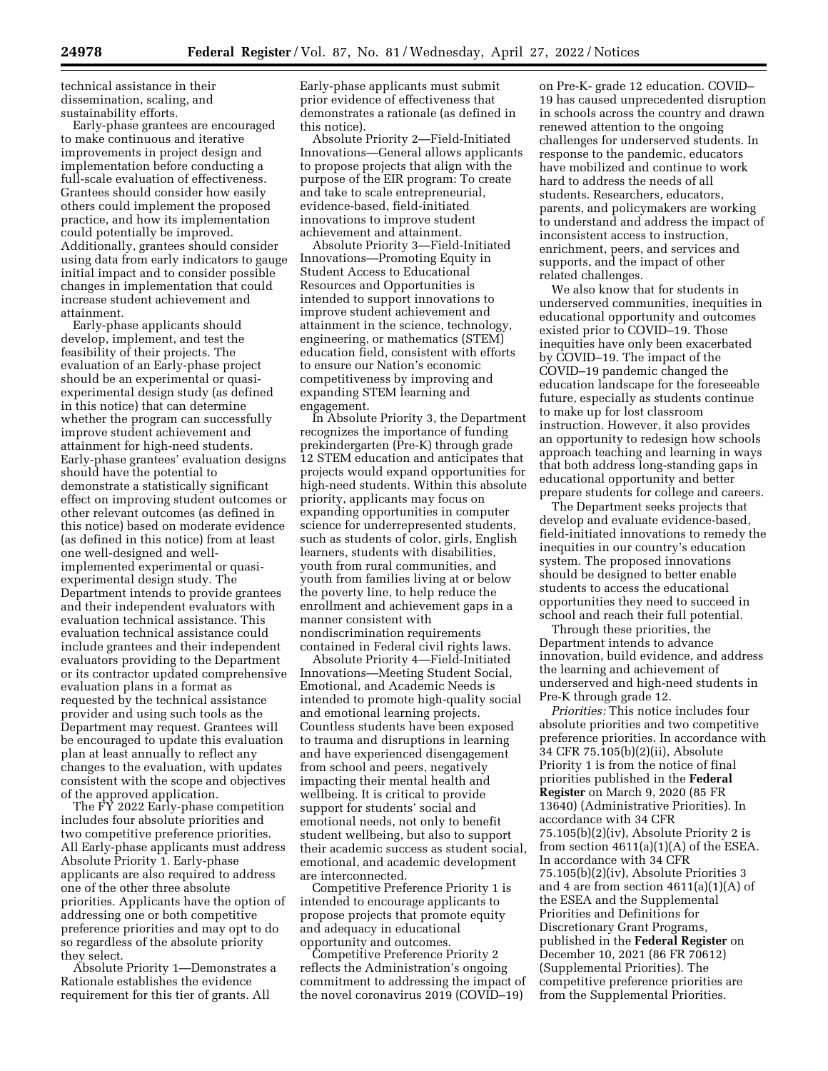technical assistance in their dissemination, scaling, and sustainability efforts.

Early-phase grantees are encouraged to make continuous and iterative improvements in project design and implementation before conducting a full-scale evaluation of effectiveness. Grantees should consider how easily others could implement the proposed practice, and how its implementation could potentially be improved. Additionally, grantees should consider using data from early indicators to gauge initial impact and to consider possible changes in implementation that could increase student achievement and attainment.

Early-phase applicants should develop, implement, and test the feasibility of their projects. The evaluation of an Early-phase project should be an experimental or quasiexperimental design study (as defined in this notice) that can determine whether the program can successfully improve student achievement and attainment for high-need students. Early-phase grantees' evaluation designs should have the potential to demonstrate a statistically significant effect on improving student outcomes or other relevant outcomes (as defined in this notice) based on moderate evidence (as defined in this notice) from at least one well-designed and wellimplemented experimental or quasiexperimental design study. The Department intends to provide grantees and their independent evaluators with evaluation technical assistance. This evaluation technical assistance could include grantees and their independent evaluators providing to the Department or its contractor updated comprehensive evaluation plans in a format as requested by the technical assistance provider and using such tools as the Department may request. Grantees will be encouraged to update this evaluation plan at least annually to reflect any changes to the evaluation, with updates consistent with the scope and objectives of the approved application.

The FY 2022 Early-phase competition includes four absolute priorities and two competitive preference priorities. All Early-phase applicants must address Absolute Priority 1. Early-phase applicants are also required to address one of the other three absolute priorities. Applicants have the option of addressing one or both competitive preference priorities and may opt to do so regardless of the absolute priority they select.

Absolute Priority 1—Demonstrates a Rationale establishes the evidence requirement for this tier of grants. All

Early-phase applicants must submit prior evidence of effectiveness that demonstrates a rationale (as defined in this notice).

Absolute Priority 2—Field-Initiated Innovations—General allows applicants to propose projects that align with the purpose of the EIR program: To create and take to scale entrepreneurial, evidence-based, field-initiated innovations to improve student achievement and attainment.

Absolute Priority 3—Field-Initiated Innovations—Promoting Equity in Student Access to Educational Resources and Opportunities is intended to support innovations to improve student achievement and attainment in the science, technology, engineering, or mathematics (STEM) education field, consistent with efforts to ensure our Nation's economic competitiveness by improving and expanding STEM learning and engagement.

In Absolute Priority 3, the Department recognizes the importance of funding prekindergarten (Pre-K) through grade 12 STEM education and anticipates that projects would expand opportunities for high-need students. Within this absolute priority, applicants may focus on expanding opportunities in computer science for underrepresented students, such as students of color, girls, English learners, students with disabilities, youth from rural communities, and youth from families living at or below the poverty line, to help reduce the enrollment and achievement gaps in a manner consistent with nondiscrimination requirements contained in Federal civil rights laws.

Absolute Priority 4—Field-Initiated Innovations—Meeting Student Social, Emotional, and Academic Needs is intended to promote high-quality social and emotional learning projects. Countless students have been exposed to trauma and disruptions in learning and have experienced disengagement from school and peers, negatively impacting their mental health and wellbeing. It is critical to provide support for students' social and emotional needs, not only to benefit student wellbeing, but also to support their academic success as student social, emotional, and academic development are interconnected.

Competitive Preference Priority 1 is intended to encourage applicants to propose projects that promote equity and adequacy in educational opportunity and outcomes.

Competitive Preference Priority 2 reflects the Administration's ongoing commitment to addressing the impact of the novel coronavirus 2019 (COVID–19)

on Pre-K- grade 12 education. COVID– 19 has caused unprecedented disruption in schools across the country and drawn renewed attention to the ongoing challenges for underserved students. In response to the pandemic, educators have mobilized and continue to work hard to address the needs of all students. Researchers, educators, parents, and policymakers are working to understand and address the impact of inconsistent access to instruction, enrichment, peers, and services and supports, and the impact of other related challenges.

We also know that for students in underserved communities, inequities in educational opportunity and outcomes existed prior to COVID–19. Those inequities have only been exacerbated by COVID–19. The impact of the COVID–19 pandemic changed the education landscape for the foreseeable future, especially as students continue to make up for lost classroom instruction. However, it also provides an opportunity to redesign how schools approach teaching and learning in ways that both address long-standing gaps in educational opportunity and better prepare students for college and careers.

The Department seeks projects that develop and evaluate evidence-based, field-initiated innovations to remedy the inequities in our country's education system. The proposed innovations should be designed to better enable students to access the educational opportunities they need to succeed in school and reach their full potential.

Through these priorities, the Department intends to advance innovation, build evidence, and address the learning and achievement of underserved and high-need students in Pre-K through grade 12.

*Priorities:* This notice includes four absolute priorities and two competitive preference priorities. In accordance with 34 CFR 75.105(b)(2)(ii), Absolute Priority 1 is from the notice of final priorities published in the **Federal Register** on March 9, 2020 (85 FR 13640) (Administrative Priorities). In accordance with 34 CFR 75.105(b)(2)(iv), Absolute Priority 2 is from section  $4611(a)(1)(A)$  of the ESEA. In accordance with 34 CFR 75.105(b)(2)(iv), Absolute Priorities 3 and 4 are from section 4611(a)(1)(A) of the ESEA and the Supplemental Priorities and Definitions for Discretionary Grant Programs, published in the **Federal Register** on December 10, 2021 (86 FR 70612) (Supplemental Priorities). The competitive preference priorities are from the Supplemental Priorities.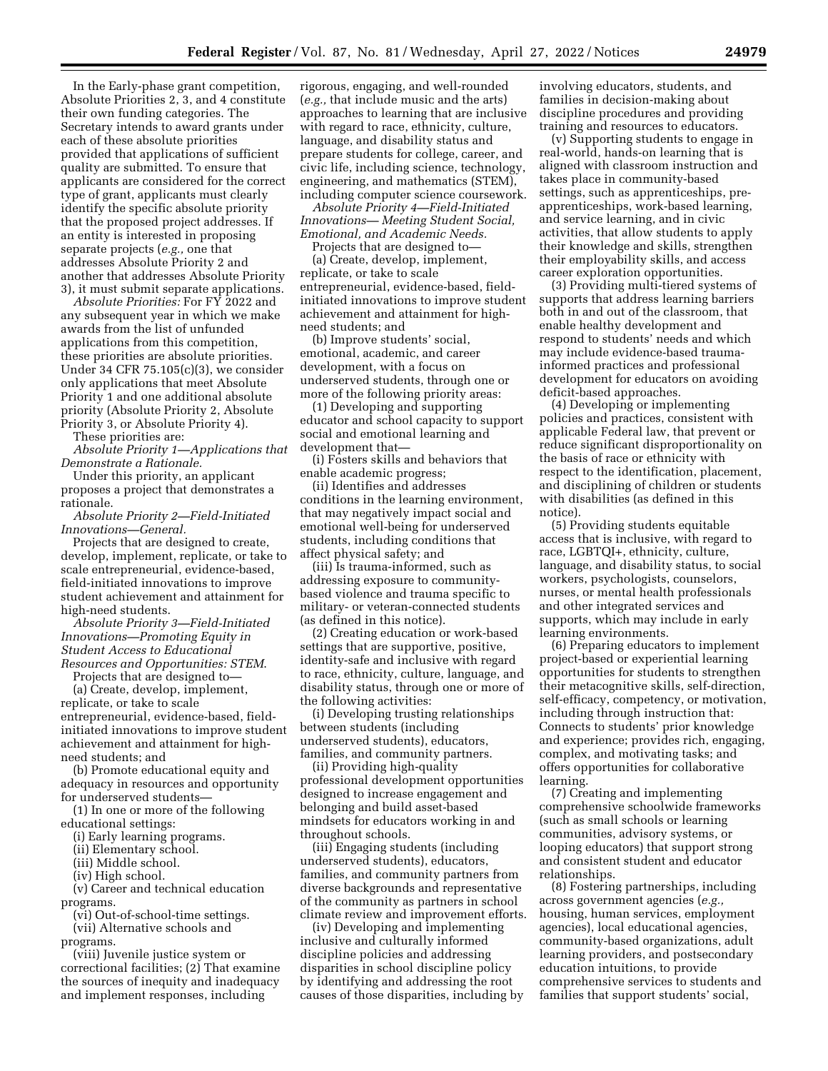In the Early-phase grant competition, Absolute Priorities 2, 3, and 4 constitute their own funding categories. The Secretary intends to award grants under each of these absolute priorities provided that applications of sufficient quality are submitted. To ensure that applicants are considered for the correct type of grant, applicants must clearly identify the specific absolute priority that the proposed project addresses. If an entity is interested in proposing separate projects (*e.g.,* one that addresses Absolute Priority 2 and another that addresses Absolute Priority 3), it must submit separate applications.

*Absolute Priorities:* For FY 2022 and any subsequent year in which we make awards from the list of unfunded applications from this competition, these priorities are absolute priorities. Under 34 CFR 75.105(c)(3), we consider only applications that meet Absolute Priority 1 and one additional absolute priority (Absolute Priority 2, Absolute Priority 3, or Absolute Priority 4).

These priorities are:

*Absolute Priority 1—Applications that Demonstrate a Rationale.* 

Under this priority, an applicant proposes a project that demonstrates a rationale.

*Absolute Priority 2—Field-Initiated Innovations—General.* 

Projects that are designed to create, develop, implement, replicate, or take to scale entrepreneurial, evidence-based, field-initiated innovations to improve student achievement and attainment for high-need students.

*Absolute Priority 3—Field-Initiated Innovations—Promoting Equity in Student Access to Educational Resources and Opportunities: STEM*.

Projects that are designed to—

(a) Create, develop, implement, replicate, or take to scale entrepreneurial, evidence-based, fieldinitiated innovations to improve student achievement and attainment for highneed students; and

(b) Promote educational equity and adequacy in resources and opportunity for underserved students—

(1) In one or more of the following educational settings:

(i) Early learning programs.

(ii) Elementary school.

(iii) Middle school.

(iv) High school.

(v) Career and technical education programs.

(vi) Out-of-school-time settings.

(vii) Alternative schools and programs.

(viii) Juvenile justice system or correctional facilities; (2) That examine the sources of inequity and inadequacy and implement responses, including

rigorous, engaging, and well-rounded (*e.g.,* that include music and the arts) approaches to learning that are inclusive with regard to race, ethnicity, culture, language, and disability status and prepare students for college, career, and civic life, including science, technology, engineering, and mathematics (STEM), including computer science coursework.

*Absolute Priority 4—Field-Initiated Innovations— Meeting Student Social, Emotional, and Academic Needs.* 

Projects that are designed to—

(a) Create, develop, implement, replicate, or take to scale entrepreneurial, evidence-based, fieldinitiated innovations to improve student achievement and attainment for highneed students; and

(b) Improve students' social, emotional, academic, and career development, with a focus on underserved students, through one or more of the following priority areas:

(1) Developing and supporting educator and school capacity to support social and emotional learning and development that—

(i) Fosters skills and behaviors that enable academic progress;

(ii) Identifies and addresses conditions in the learning environment, that may negatively impact social and emotional well-being for underserved students, including conditions that affect physical safety; and

(iii) Is trauma-informed, such as addressing exposure to communitybased violence and trauma specific to military- or veteran-connected students (as defined in this notice).

(2) Creating education or work-based settings that are supportive, positive, identity-safe and inclusive with regard to race, ethnicity, culture, language, and disability status, through one or more of the following activities:

(i) Developing trusting relationships between students (including underserved students), educators, families, and community partners.

(ii) Providing high-quality professional development opportunities designed to increase engagement and belonging and build asset-based mindsets for educators working in and throughout schools.

(iii) Engaging students (including underserved students), educators, families, and community partners from diverse backgrounds and representative of the community as partners in school climate review and improvement efforts.

(iv) Developing and implementing inclusive and culturally informed discipline policies and addressing disparities in school discipline policy by identifying and addressing the root causes of those disparities, including by

involving educators, students, and families in decision-making about discipline procedures and providing training and resources to educators.

(v) Supporting students to engage in real-world, hands-on learning that is aligned with classroom instruction and takes place in community-based settings, such as apprenticeships, preapprenticeships, work-based learning, and service learning, and in civic activities, that allow students to apply their knowledge and skills, strengthen their employability skills, and access career exploration opportunities.

(3) Providing multi-tiered systems of supports that address learning barriers both in and out of the classroom, that enable healthy development and respond to students' needs and which may include evidence-based traumainformed practices and professional development for educators on avoiding deficit-based approaches.

(4) Developing or implementing policies and practices, consistent with applicable Federal law, that prevent or reduce significant disproportionality on the basis of race or ethnicity with respect to the identification, placement, and disciplining of children or students with disabilities (as defined in this notice).

(5) Providing students equitable access that is inclusive, with regard to race, LGBTQI+, ethnicity, culture, language, and disability status, to social workers, psychologists, counselors, nurses, or mental health professionals and other integrated services and supports, which may include in early learning environments.

(6) Preparing educators to implement project-based or experiential learning opportunities for students to strengthen their metacognitive skills, self-direction, self-efficacy, competency, or motivation, including through instruction that: Connects to students' prior knowledge and experience; provides rich, engaging, complex, and motivating tasks; and offers opportunities for collaborative learning.

(7) Creating and implementing comprehensive schoolwide frameworks (such as small schools or learning communities, advisory systems, or looping educators) that support strong and consistent student and educator relationships.

(8) Fostering partnerships, including across government agencies (*e.g.,*  housing, human services, employment agencies), local educational agencies, community-based organizations, adult learning providers, and postsecondary education intuitions, to provide comprehensive services to students and families that support students' social,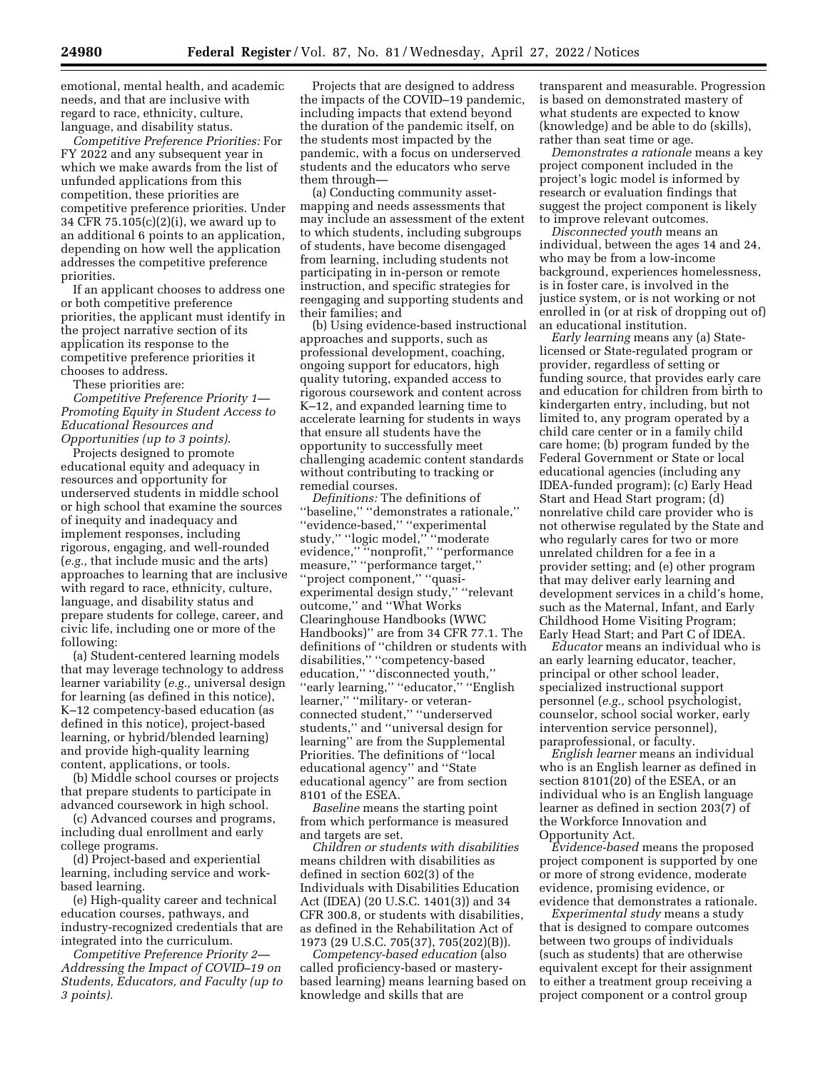emotional, mental health, and academic needs, and that are inclusive with regard to race, ethnicity, culture, language, and disability status.

*Competitive Preference Priorities:* For FY 2022 and any subsequent year in which we make awards from the list of unfunded applications from this competition, these priorities are competitive preference priorities. Under 34 CFR 75.105(c)(2)(i), we award up to an additional 6 points to an application, depending on how well the application addresses the competitive preference priorities.

If an applicant chooses to address one or both competitive preference priorities, the applicant must identify in the project narrative section of its application its response to the competitive preference priorities it chooses to address.

These priorities are:

*Competitive Preference Priority 1— Promoting Equity in Student Access to Educational Resources and Opportunities (up to 3 points)*.

Projects designed to promote educational equity and adequacy in resources and opportunity for underserved students in middle school or high school that examine the sources of inequity and inadequacy and implement responses, including rigorous, engaging, and well-rounded (*e.g.,* that include music and the arts) approaches to learning that are inclusive with regard to race, ethnicity, culture, language, and disability status and prepare students for college, career, and civic life, including one or more of the following:

(a) Student-centered learning models that may leverage technology to address learner variability (*e.g.,* universal design for learning (as defined in this notice), K–12 competency-based education (as defined in this notice), project-based learning, or hybrid/blended learning) and provide high-quality learning content, applications, or tools.

(b) Middle school courses or projects that prepare students to participate in advanced coursework in high school.

(c) Advanced courses and programs, including dual enrollment and early college programs.

(d) Project-based and experiential learning, including service and workbased learning.

(e) High-quality career and technical education courses, pathways, and industry-recognized credentials that are integrated into the curriculum.

*Competitive Preference Priority 2— Addressing the Impact of COVID–19 on Students, Educators, and Faculty (up to 3 points).* 

Projects that are designed to address the impacts of the COVID–19 pandemic, including impacts that extend beyond the duration of the pandemic itself, on the students most impacted by the pandemic, with a focus on underserved students and the educators who serve them through—

(a) Conducting community assetmapping and needs assessments that may include an assessment of the extent to which students, including subgroups of students, have become disengaged from learning, including students not participating in in-person or remote instruction, and specific strategies for reengaging and supporting students and their families; and

(b) Using evidence-based instructional approaches and supports, such as professional development, coaching, ongoing support for educators, high quality tutoring, expanded access to rigorous coursework and content across K–12, and expanded learning time to accelerate learning for students in ways that ensure all students have the opportunity to successfully meet challenging academic content standards without contributing to tracking or remedial courses.

*Definitions:* The definitions of ''baseline,'' ''demonstrates a rationale,'' ''evidence-based,'' ''experimental study,'' ''logic model,'' ''moderate evidence,'' ''nonprofit,'' ''performance measure,'' ''performance target,'' ''project component,'' ''quasiexperimental design study,'' ''relevant outcome,'' and ''What Works Clearinghouse Handbooks (WWC Handbooks)'' are from 34 CFR 77.1. The definitions of ''children or students with disabilities,'' ''competency-based education," "disconnected youth," ''early learning,'' ''educator,'' ''English learner," "military- or veteranconnected student,'' ''underserved students,'' and ''universal design for learning'' are from the Supplemental Priorities. The definitions of ''local educational agency'' and ''State educational agency'' are from section 8101 of the ESEA.

*Baseline* means the starting point from which performance is measured and targets are set.

*Children or students with disabilities*  means children with disabilities as defined in section 602(3) of the Individuals with Disabilities Education Act (IDEA) (20 U.S.C. 1401(3)) and 34 CFR 300.8, or students with disabilities, as defined in the Rehabilitation Act of 1973 (29 U.S.C. 705(37), 705(202)(B)).

*Competency-based education* (also called proficiency-based or masterybased learning) means learning based on knowledge and skills that are

transparent and measurable. Progression is based on demonstrated mastery of what students are expected to know (knowledge) and be able to do (skills), rather than seat time or age.

*Demonstrates a rationale* means a key project component included in the project's logic model is informed by research or evaluation findings that suggest the project component is likely to improve relevant outcomes.

*Disconnected youth* means an individual, between the ages 14 and 24, who may be from a low-income background, experiences homelessness, is in foster care, is involved in the justice system, or is not working or not enrolled in (or at risk of dropping out of) an educational institution.

*Early learning* means any (a) Statelicensed or State-regulated program or provider, regardless of setting or funding source, that provides early care and education for children from birth to kindergarten entry, including, but not limited to, any program operated by a child care center or in a family child care home; (b) program funded by the Federal Government or State or local educational agencies (including any IDEA-funded program); (c) Early Head Start and Head Start program; (d) nonrelative child care provider who is not otherwise regulated by the State and who regularly cares for two or more unrelated children for a fee in a provider setting; and (e) other program that may deliver early learning and development services in a child's home, such as the Maternal, Infant, and Early Childhood Home Visiting Program; Early Head Start; and Part C of IDEA.

*Educator* means an individual who is an early learning educator, teacher, principal or other school leader, specialized instructional support personnel (*e.g.,* school psychologist, counselor, school social worker, early intervention service personnel), paraprofessional, or faculty.

*English learner* means an individual who is an English learner as defined in section 8101(20) of the ESEA, or an individual who is an English language learner as defined in section 203(7) of the Workforce Innovation and Opportunity Act.

*Evidence-based* means the proposed project component is supported by one or more of strong evidence, moderate evidence, promising evidence, or evidence that demonstrates a rationale.

*Experimental study* means a study that is designed to compare outcomes between two groups of individuals (such as students) that are otherwise equivalent except for their assignment to either a treatment group receiving a project component or a control group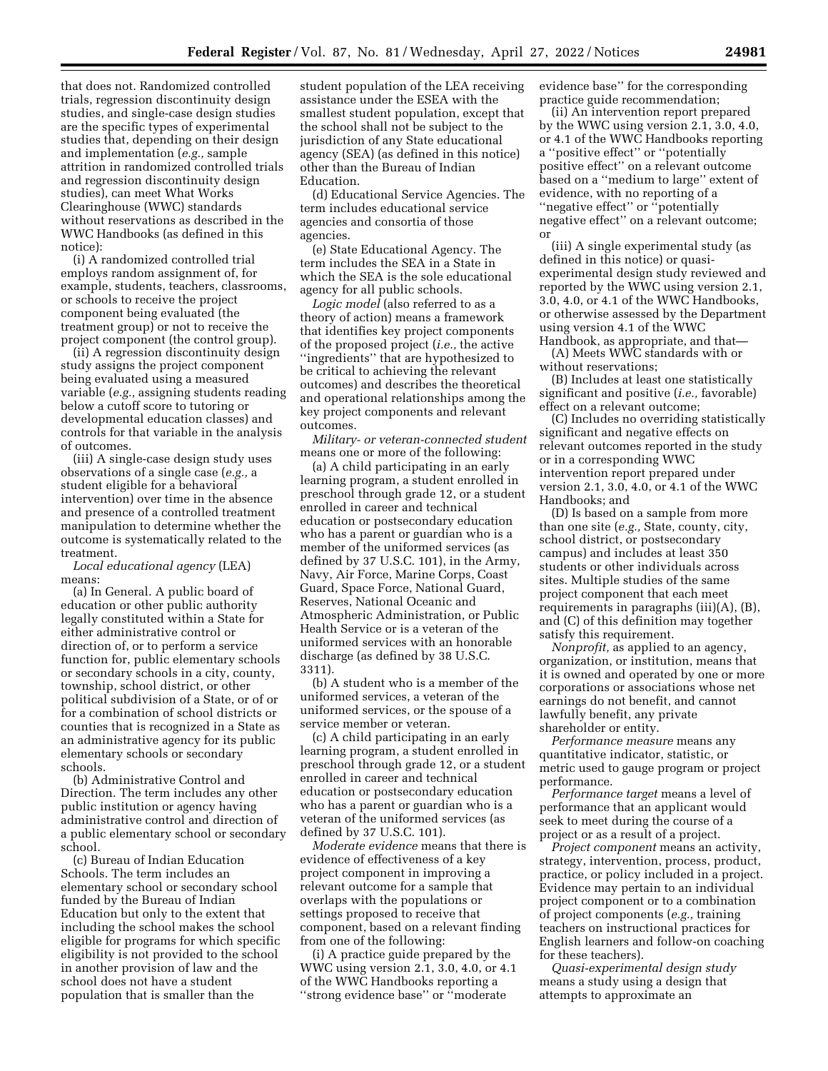that does not. Randomized controlled trials, regression discontinuity design studies, and single-case design studies are the specific types of experimental studies that, depending on their design and implementation (*e.g.,* sample attrition in randomized controlled trials and regression discontinuity design studies), can meet What Works Clearinghouse (WWC) standards without reservations as described in the WWC Handbooks (as defined in this notice):

(i) A randomized controlled trial employs random assignment of, for example, students, teachers, classrooms, or schools to receive the project component being evaluated (the treatment group) or not to receive the project component (the control group).

(ii) A regression discontinuity design study assigns the project component being evaluated using a measured variable (*e.g.,* assigning students reading below a cutoff score to tutoring or developmental education classes) and controls for that variable in the analysis of outcomes.

(iii) A single-case design study uses observations of a single case (*e.g.,* a student eligible for a behavioral intervention) over time in the absence and presence of a controlled treatment manipulation to determine whether the outcome is systematically related to the treatment.

*Local educational agency* (LEA) means:

(a) In General. A public board of education or other public authority legally constituted within a State for either administrative control or direction of, or to perform a service function for, public elementary schools or secondary schools in a city, county, township, school district, or other political subdivision of a State, or of or for a combination of school districts or counties that is recognized in a State as an administrative agency for its public elementary schools or secondary schools.

(b) Administrative Control and Direction. The term includes any other public institution or agency having administrative control and direction of a public elementary school or secondary school.

(c) Bureau of Indian Education Schools. The term includes an elementary school or secondary school funded by the Bureau of Indian Education but only to the extent that including the school makes the school eligible for programs for which specific eligibility is not provided to the school in another provision of law and the school does not have a student population that is smaller than the

student population of the LEA receiving assistance under the ESEA with the smallest student population, except that the school shall not be subject to the jurisdiction of any State educational agency (SEA) (as defined in this notice) other than the Bureau of Indian Education.

(d) Educational Service Agencies. The term includes educational service agencies and consortia of those agencies.

(e) State Educational Agency. The term includes the SEA in a State in which the SEA is the sole educational agency for all public schools.

*Logic model* (also referred to as a theory of action) means a framework that identifies key project components of the proposed project (*i.e.,* the active ''ingredients'' that are hypothesized to be critical to achieving the relevant outcomes) and describes the theoretical and operational relationships among the key project components and relevant outcomes.

*Military- or veteran-connected student*  means one or more of the following:

(a) A child participating in an early learning program, a student enrolled in preschool through grade 12, or a student enrolled in career and technical education or postsecondary education who has a parent or guardian who is a member of the uniformed services (as defined by 37 U.S.C. 101), in the Army, Navy, Air Force, Marine Corps, Coast Guard, Space Force, National Guard, Reserves, National Oceanic and Atmospheric Administration, or Public Health Service or is a veteran of the uniformed services with an honorable discharge (as defined by 38 U.S.C. 3311).

(b) A student who is a member of the uniformed services, a veteran of the uniformed services, or the spouse of a service member or veteran.

(c) A child participating in an early learning program, a student enrolled in preschool through grade 12, or a student enrolled in career and technical education or postsecondary education who has a parent or guardian who is a veteran of the uniformed services (as defined by 37 U.S.C. 101).

*Moderate evidence* means that there is evidence of effectiveness of a key project component in improving a relevant outcome for a sample that overlaps with the populations or settings proposed to receive that component, based on a relevant finding from one of the following:

(i) A practice guide prepared by the WWC using version 2.1, 3.0, 4.0, or 4.1 of the WWC Handbooks reporting a ''strong evidence base'' or ''moderate

evidence base'' for the corresponding practice guide recommendation;

(ii) An intervention report prepared by the WWC using version 2.1, 3.0, 4.0, or 4.1 of the WWC Handbooks reporting a ''positive effect'' or ''potentially positive effect'' on a relevant outcome based on a ''medium to large'' extent of evidence, with no reporting of a ''negative effect'' or ''potentially negative effect'' on a relevant outcome; or

(iii) A single experimental study (as defined in this notice) or quasiexperimental design study reviewed and reported by the WWC using version 2.1, 3.0, 4.0, or 4.1 of the WWC Handbooks, or otherwise assessed by the Department using version 4.1 of the WWC

Handbook, as appropriate, and that— (A) Meets WWC standards with or without reservations;

(B) Includes at least one statistically significant and positive (*i.e.,* favorable) effect on a relevant outcome;

(C) Includes no overriding statistically significant and negative effects on relevant outcomes reported in the study or in a corresponding WWC intervention report prepared under version 2.1, 3.0, 4.0, or 4.1 of the WWC Handbooks; and

(D) Is based on a sample from more than one site (*e.g.,* State, county, city, school district, or postsecondary campus) and includes at least 350 students or other individuals across sites. Multiple studies of the same project component that each meet requirements in paragraphs (iii)(A), (B), and (C) of this definition may together satisfy this requirement.

*Nonprofit,* as applied to an agency, organization, or institution, means that it is owned and operated by one or more corporations or associations whose net earnings do not benefit, and cannot lawfully benefit, any private shareholder or entity.

*Performance measure* means any quantitative indicator, statistic, or metric used to gauge program or project performance.

*Performance target* means a level of performance that an applicant would seek to meet during the course of a project or as a result of a project.

*Project component* means an activity, strategy, intervention, process, product, practice, or policy included in a project. Evidence may pertain to an individual project component or to a combination of project components (*e.g.,* training teachers on instructional practices for English learners and follow-on coaching for these teachers).

*Quasi-experimental design study*  means a study using a design that attempts to approximate an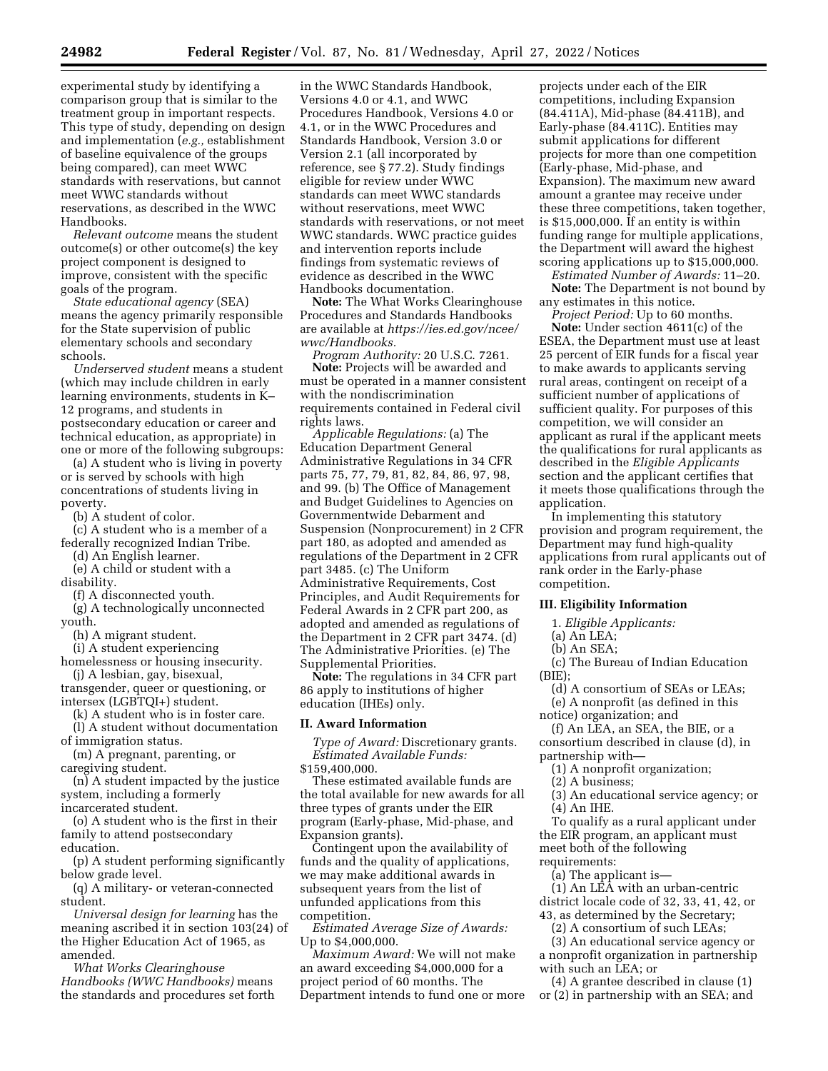experimental study by identifying a comparison group that is similar to the treatment group in important respects. This type of study, depending on design and implementation (*e.g.,* establishment of baseline equivalence of the groups being compared), can meet WWC standards with reservations, but cannot meet WWC standards without reservations, as described in the WWC Handbooks.

*Relevant outcome* means the student outcome(s) or other outcome(s) the key project component is designed to improve, consistent with the specific goals of the program.

*State educational agency* (SEA) means the agency primarily responsible for the State supervision of public elementary schools and secondary schools.

*Underserved student* means a student (which may include children in early learning environments, students in K– 12 programs, and students in postsecondary education or career and technical education, as appropriate) in one or more of the following subgroups:

(a) A student who is living in poverty or is served by schools with high concentrations of students living in poverty.

(b) A student of color.

(c) A student who is a member of a federally recognized Indian Tribe.

(d) An English learner.

(e) A child or student with a

disability.

(f) A disconnected youth.

(g) A technologically unconnected youth.

(h) A migrant student.

(i) A student experiencing

homelessness or housing insecurity. (j) A lesbian, gay, bisexual,

transgender, queer or questioning, or intersex (LGBTQI+) student.

(k) A student who is in foster care.

(l) A student without documentation of immigration status.

(m) A pregnant, parenting, or caregiving student.

(n) A student impacted by the justice system, including a formerly

incarcerated student.

(o) A student who is the first in their family to attend postsecondary education.

(p) A student performing significantly below grade level.

(q) A military- or veteran-connected student.

*Universal design for learning* has the meaning ascribed it in section 103(24) of the Higher Education Act of 1965, as amended.

*What Works Clearinghouse Handbooks (WWC Handbooks)* means the standards and procedures set forth in the WWC Standards Handbook, Versions 4.0 or 4.1, and WWC Procedures Handbook, Versions 4.0 or 4.1, or in the WWC Procedures and Standards Handbook, Version 3.0 or Version 2.1 (all incorporated by reference, see § 77.2). Study findings eligible for review under WWC standards can meet WWC standards without reservations, meet WWC standards with reservations, or not meet WWC standards. WWC practice guides and intervention reports include findings from systematic reviews of evidence as described in the WWC Handbooks documentation.

**Note:** The What Works Clearinghouse Procedures and Standards Handbooks are available at *[https://ies.ed.gov/ncee/](https://ies.ed.gov/ncee/wwc/Handbooks) [wwc/Handbooks.](https://ies.ed.gov/ncee/wwc/Handbooks)* 

*Program Authority:* 20 U.S.C. 7261. **Note:** Projects will be awarded and must be operated in a manner consistent with the nondiscrimination requirements contained in Federal civil

rights laws. *Applicable Regulations:* (a) The Education Department General Administrative Regulations in 34 CFR parts 75, 77, 79, 81, 82, 84, 86, 97, 98, and 99. (b) The Office of Management and Budget Guidelines to Agencies on Governmentwide Debarment and Suspension (Nonprocurement) in 2 CFR part 180, as adopted and amended as regulations of the Department in 2 CFR part 3485. (c) The Uniform Administrative Requirements, Cost Principles, and Audit Requirements for Federal Awards in 2 CFR part 200, as adopted and amended as regulations of the Department in 2 CFR part 3474. (d) The Administrative Priorities. (e) The Supplemental Priorities.

**Note:** The regulations in 34 CFR part 86 apply to institutions of higher education (IHEs) only.

## **II. Award Information**

*Type of Award:* Discretionary grants. *Estimated Available Funds:*  \$159,400,000.

These estimated available funds are the total available for new awards for all three types of grants under the EIR program (Early-phase, Mid-phase, and Expansion grants).

Contingent upon the availability of funds and the quality of applications, we may make additional awards in subsequent years from the list of unfunded applications from this competition.

*Estimated Average Size of Awards:*  Up to \$4,000,000.

*Maximum Award:* We will not make an award exceeding \$4,000,000 for a project period of 60 months. The Department intends to fund one or more

projects under each of the EIR competitions, including Expansion (84.411A), Mid-phase (84.411B), and Early-phase (84.411C). Entities may submit applications for different projects for more than one competition (Early-phase, Mid-phase, and Expansion). The maximum new award amount a grantee may receive under these three competitions, taken together, is \$15,000,000. If an entity is within funding range for multiple applications, the Department will award the highest scoring applications up to \$15,000,000.

*Estimated Number of Awards:* 11–20. **Note:** The Department is not bound by

any estimates in this notice. *Project Period:* Up to 60 months.

**Note:** Under section 4611(c) of the ESEA, the Department must use at least 25 percent of EIR funds for a fiscal year to make awards to applicants serving rural areas, contingent on receipt of a sufficient number of applications of sufficient quality. For purposes of this competition, we will consider an applicant as rural if the applicant meets the qualifications for rural applicants as described in the *Eligible Applicants*  section and the applicant certifies that it meets those qualifications through the application.

In implementing this statutory provision and program requirement, the Department may fund high-quality applications from rural applicants out of rank order in the Early-phase competition.

# **III. Eligibility Information**

1. *Eligible Applicants:* 

- (a) An LEA;
- (b) An SEA;

(c) The Bureau of Indian Education  $(RIF)$ 

(d) A consortium of SEAs or LEAs;

(e) A nonprofit (as defined in this notice) organization; and

(f) An LEA, an SEA, the BIE, or a consortium described in clause (d), in partnership with—

- (1) A nonprofit organization;
- (2) A business;
- (3) An educational service agency; or (4) An IHE.

To qualify as a rural applicant under the EIR program, an applicant must meet both of the following requirements:

(a) The applicant is—

(1) An LEA with an urban-centric district locale code of 32, 33, 41, 42, or 43, as determined by the Secretary;

(2) A consortium of such LEAs;

(3) An educational service agency or a nonprofit organization in partnership with such an LEA; or

(4) A grantee described in clause (1) or (2) in partnership with an SEA; and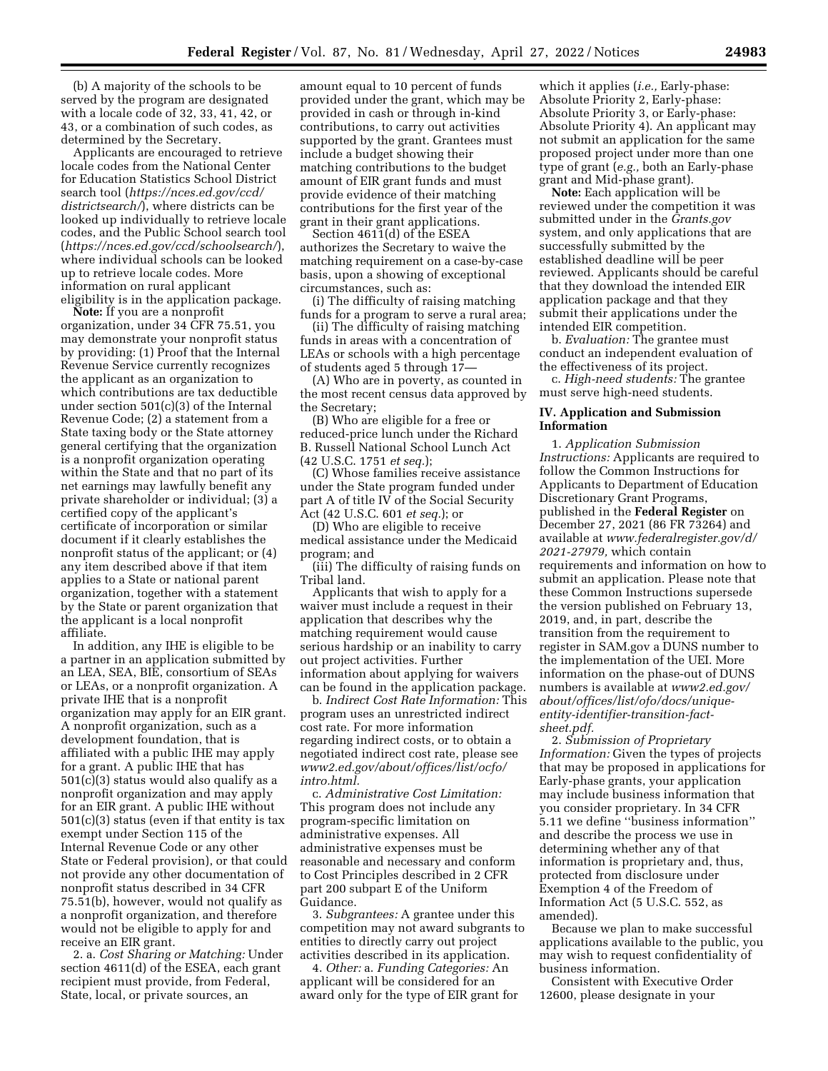(b) A majority of the schools to be served by the program are designated with a locale code of 32, 33, 41, 42, or 43, or a combination of such codes, as determined by the Secretary.

Applicants are encouraged to retrieve locale codes from the National Center for Education Statistics School District search tool (*[https://nces.ed.gov/ccd/](https://nces.ed.gov/ccd/districtsearch/) [districtsearch/](https://nces.ed.gov/ccd/districtsearch/)*), where districts can be looked up individually to retrieve locale codes, and the Public School search tool (*<https://nces.ed.gov/ccd/schoolsearch/>*), where individual schools can be looked up to retrieve locale codes. More information on rural applicant eligibility is in the application package.

**Note:** If you are a nonprofit organization, under 34 CFR 75.51, you may demonstrate your nonprofit status by providing: (1) Proof that the Internal Revenue Service currently recognizes the applicant as an organization to which contributions are tax deductible under section 501(c)(3) of the Internal Revenue Code; (2) a statement from a State taxing body or the State attorney general certifying that the organization is a nonprofit organization operating within the State and that no part of its net earnings may lawfully benefit any private shareholder or individual; (3) a certified copy of the applicant's certificate of incorporation or similar document if it clearly establishes the nonprofit status of the applicant; or (4) any item described above if that item applies to a State or national parent organization, together with a statement by the State or parent organization that the applicant is a local nonprofit affiliate.

In addition, any IHE is eligible to be a partner in an application submitted by an LEA, SEA, BIE, consortium of SEAs or LEAs, or a nonprofit organization. A private IHE that is a nonprofit organization may apply for an EIR grant. A nonprofit organization, such as a development foundation, that is affiliated with a public IHE may apply for a grant. A public IHE that has 501(c)(3) status would also qualify as a nonprofit organization and may apply for an EIR grant. A public IHE without 501(c)(3) status (even if that entity is tax exempt under Section 115 of the Internal Revenue Code or any other State or Federal provision), or that could not provide any other documentation of nonprofit status described in 34 CFR 75.51(b), however, would not qualify as a nonprofit organization, and therefore would not be eligible to apply for and receive an EIR grant.

2. a. *Cost Sharing or Matching:* Under section 4611(d) of the ESEA, each grant recipient must provide, from Federal, State, local, or private sources, an

amount equal to 10 percent of funds provided under the grant, which may be provided in cash or through in-kind contributions, to carry out activities supported by the grant. Grantees must include a budget showing their matching contributions to the budget amount of EIR grant funds and must provide evidence of their matching contributions for the first year of the grant in their grant applications.

Section 4611(d) of the ESEA authorizes the Secretary to waive the matching requirement on a case-by-case basis, upon a showing of exceptional circumstances, such as:

(i) The difficulty of raising matching funds for a program to serve a rural area;

(ii) The difficulty of raising matching funds in areas with a concentration of LEAs or schools with a high percentage of students aged 5 through 17—

(A) Who are in poverty, as counted in the most recent census data approved by the Secretary;

(B) Who are eligible for a free or reduced-price lunch under the Richard B. Russell National School Lunch Act (42 U.S.C. 1751 *et seq.*);

(C) Whose families receive assistance under the State program funded under part A of title IV of the Social Security Act (42 U.S.C. 601 *et seq.*); or

(D) Who are eligible to receive medical assistance under the Medicaid program; and

(iii) The difficulty of raising funds on Tribal land.

Applicants that wish to apply for a waiver must include a request in their application that describes why the matching requirement would cause serious hardship or an inability to carry out project activities. Further information about applying for waivers can be found in the application package.

b. *Indirect Cost Rate Information:* This program uses an unrestricted indirect cost rate. For more information regarding indirect costs, or to obtain a negotiated indirect cost rate, please see *[www2.ed.gov/about/offices/list/ocfo/](http://www2.ed.gov/about/offices/list/ocfo/intro.html)  [intro.html.](http://www2.ed.gov/about/offices/list/ocfo/intro.html)* 

c. *Administrative Cost Limitation:*  This program does not include any program-specific limitation on administrative expenses. All administrative expenses must be reasonable and necessary and conform to Cost Principles described in 2 CFR part 200 subpart E of the Uniform Guidance.

3. *Subgrantees:* A grantee under this competition may not award subgrants to entities to directly carry out project activities described in its application.

4. *Other:* a. *Funding Categories:* An applicant will be considered for an award only for the type of EIR grant for

which it applies (*i.e.,* Early-phase: Absolute Priority 2, Early-phase: Absolute Priority 3, or Early-phase: Absolute Priority 4). An applicant may not submit an application for the same proposed project under more than one type of grant (*e.g.,* both an Early-phase grant and Mid-phase grant).

**Note:** Each application will be reviewed under the competition it was submitted under in the *Grants.gov*  system, and only applications that are successfully submitted by the established deadline will be peer reviewed. Applicants should be careful that they download the intended EIR application package and that they submit their applications under the intended EIR competition.

b. *Evaluation:* The grantee must conduct an independent evaluation of the effectiveness of its project.

c. *High-need students:* The grantee must serve high-need students.

## **IV. Application and Submission Information**

1. *Application Submission Instructions:* Applicants are required to follow the Common Instructions for Applicants to Department of Education Discretionary Grant Programs, published in the **Federal Register** on December 27, 2021 (86 FR 73264) and available at *[www.federalregister.gov/d/](http://www.federalregister.gov/d/2021-27979)  [2021-27979,](http://www.federalregister.gov/d/2021-27979)* which contain requirements and information on how to submit an application. Please note that these Common Instructions supersede the version published on February 13, 2019, and, in part, describe the transition from the requirement to register in SAM.gov a DUNS number to the implementation of the UEI. More information on the phase-out of DUNS numbers is available at *[www2.ed.gov/](http://www2.ed.gov/about/offices/list/ofo/docs/unique-entity-identifier-transition-fact-sheet.pdf)  [about/offices/list/ofo/docs/unique](http://www2.ed.gov/about/offices/list/ofo/docs/unique-entity-identifier-transition-fact-sheet.pdf)entity-identifier-transition-factsheet.pdf.* 

2. *Submission of Proprietary Information:* Given the types of projects that may be proposed in applications for Early-phase grants, your application may include business information that you consider proprietary. In 34 CFR 5.11 we define ''business information'' and describe the process we use in determining whether any of that information is proprietary and, thus, protected from disclosure under Exemption 4 of the Freedom of Information Act (5 U.S.C. 552, as amended).

Because we plan to make successful applications available to the public, you may wish to request confidentiality of business information.

Consistent with Executive Order 12600, please designate in your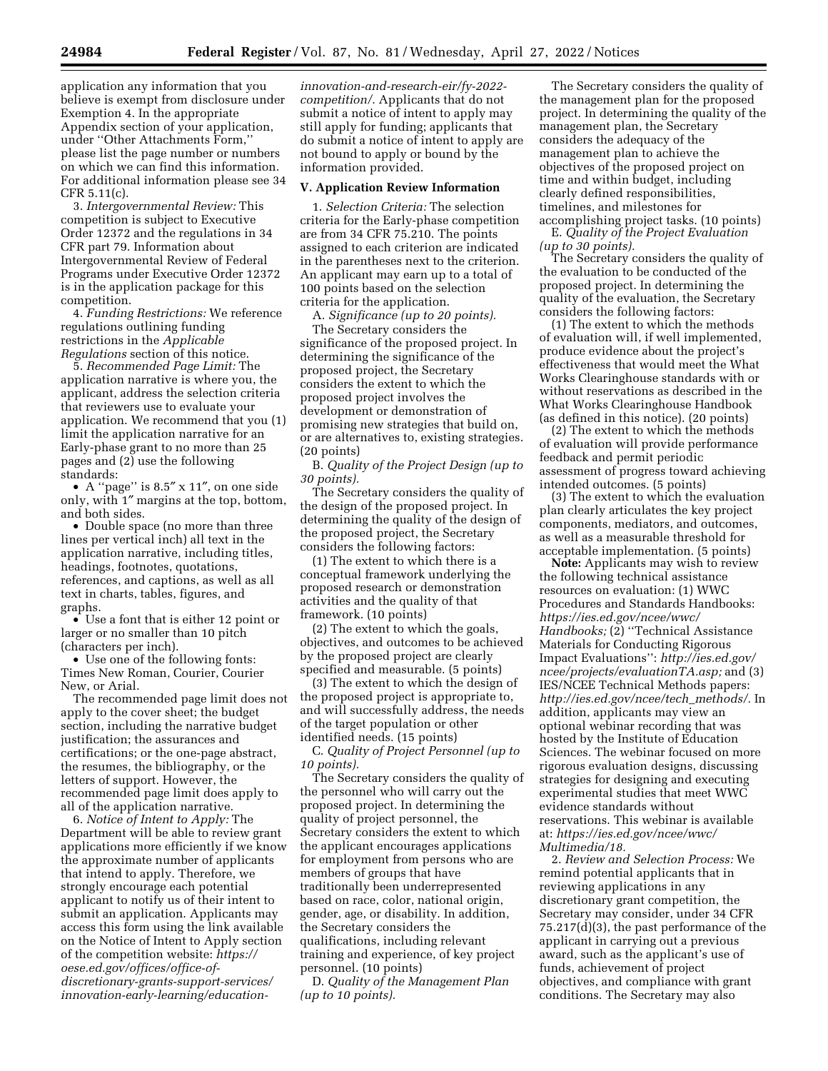application any information that you believe is exempt from disclosure under Exemption 4. In the appropriate Appendix section of your application, under ''Other Attachments Form,'' please list the page number or numbers on which we can find this information. For additional information please see 34 CFR 5.11(c).

3. *Intergovernmental Review:* This competition is subject to Executive Order 12372 and the regulations in 34 CFR part 79. Information about Intergovernmental Review of Federal Programs under Executive Order 12372 is in the application package for this competition.

4. *Funding Restrictions:* We reference regulations outlining funding restrictions in the *Applicable Regulations* section of this notice.

5. *Recommended Page Limit:* The application narrative is where you, the applicant, address the selection criteria that reviewers use to evaluate your application. We recommend that you (1) limit the application narrative for an Early-phase grant to no more than 25 pages and (2) use the following standards:

• A ''page'' is 8.5″ x 11″, on one side only, with 1″ margins at the top, bottom, and both sides.

• Double space (no more than three lines per vertical inch) all text in the application narrative, including titles, headings, footnotes, quotations, references, and captions, as well as all text in charts, tables, figures, and graphs.

• Use a font that is either 12 point or larger or no smaller than 10 pitch (characters per inch).

• Use one of the following fonts: Times New Roman, Courier, Courier New, or Arial.

The recommended page limit does not apply to the cover sheet; the budget section, including the narrative budget justification; the assurances and certifications; or the one-page abstract, the resumes, the bibliography, or the letters of support. However, the recommended page limit does apply to all of the application narrative.

6. *Notice of Intent to Apply:* The Department will be able to review grant applications more efficiently if we know the approximate number of applicants that intend to apply. Therefore, we strongly encourage each potential applicant to notify us of their intent to submit an application. Applicants may access this form using the link available on the Notice of Intent to Apply section of the competition website: *[https://](https://oese.ed.gov/offices/office-of-discretionary-grants-support-services/innovation-early-learning/education-innovation-and-research-eir/fy-2022-competition/) oese.ed.gov/offices/office-of[discretionary-grants-support-services/](https://oese.ed.gov/offices/office-of-discretionary-grants-support-services/innovation-early-learning/education-innovation-and-research-eir/fy-2022-competition/)  innovation-early-learning/education-* *[innovation-and-research-eir/fy-2022](https://oese.ed.gov/offices/office-of-discretionary-grants-support-services/innovation-early-learning/education-innovation-and-research-eir/fy-2022-competition/)  [competition/.](https://oese.ed.gov/offices/office-of-discretionary-grants-support-services/innovation-early-learning/education-innovation-and-research-eir/fy-2022-competition/)* Applicants that do not submit a notice of intent to apply may still apply for funding; applicants that do submit a notice of intent to apply are not bound to apply or bound by the information provided.

#### **V. Application Review Information**

1. *Selection Criteria:* The selection criteria for the Early-phase competition are from 34 CFR 75.210. The points assigned to each criterion are indicated in the parentheses next to the criterion. An applicant may earn up to a total of 100 points based on the selection criteria for the application.

A. *Significance (up to 20 points).* 

The Secretary considers the significance of the proposed project. In determining the significance of the proposed project, the Secretary considers the extent to which the proposed project involves the development or demonstration of promising new strategies that build on, or are alternatives to, existing strategies. (20 points)

B. *Quality of the Project Design (up to 30 points).* 

The Secretary considers the quality of the design of the proposed project. In determining the quality of the design of the proposed project, the Secretary considers the following factors:

(1) The extent to which there is a conceptual framework underlying the proposed research or demonstration activities and the quality of that framework. (10 points)

(2) The extent to which the goals, objectives, and outcomes to be achieved by the proposed project are clearly specified and measurable. (5 points)

(3) The extent to which the design of the proposed project is appropriate to, and will successfully address, the needs of the target population or other identified needs. (15 points)

C. *Quality of Project Personnel (up to 10 points).* 

The Secretary considers the quality of the personnel who will carry out the proposed project. In determining the quality of project personnel, the Secretary considers the extent to which the applicant encourages applications for employment from persons who are members of groups that have traditionally been underrepresented based on race, color, national origin, gender, age, or disability. In addition, the Secretary considers the qualifications, including relevant training and experience, of key project personnel. (10 points)

D. *Quality of the Management Plan (up to 10 points).* 

The Secretary considers the quality of the management plan for the proposed project. In determining the quality of the management plan, the Secretary considers the adequacy of the management plan to achieve the objectives of the proposed project on time and within budget, including clearly defined responsibilities, timelines, and milestones for accomplishing project tasks. (10 points)

E. *Quality of the Project Evaluation (up to 30 points).* 

The Secretary considers the quality of the evaluation to be conducted of the proposed project. In determining the quality of the evaluation, the Secretary considers the following factors:

(1) The extent to which the methods of evaluation will, if well implemented, produce evidence about the project's effectiveness that would meet the What Works Clearinghouse standards with or without reservations as described in the What Works Clearinghouse Handbook (as defined in this notice). (20 points)

(2) The extent to which the methods of evaluation will provide performance feedback and permit periodic assessment of progress toward achieving intended outcomes. (5 points)

(3) The extent to which the evaluation plan clearly articulates the key project components, mediators, and outcomes, as well as a measurable threshold for acceptable implementation. (5 points)

**Note:** Applicants may wish to review the following technical assistance resources on evaluation: (1) WWC Procedures and Standards Handbooks: *[https://ies.ed.gov/ncee/wwc/](https://ies.ed.gov/ncee/wwc/Handbooks)  [Handbooks;](https://ies.ed.gov/ncee/wwc/Handbooks)* (2) ''Technical Assistance Materials for Conducting Rigorous Impact Evaluations'': *[http://ies.ed.gov/](http://ies.ed.gov/ncee/projects/evaluationTA.asp)  [ncee/projects/evaluationTA.asp;](http://ies.ed.gov/ncee/projects/evaluationTA.asp)* and (3) IES/NCEE Technical Methods papers: *[http://ies.ed.gov/ncee/tech](http://ies.ed.gov/ncee/tech_methods/)*\_*methods/.* In addition, applicants may view an optional webinar recording that was hosted by the Institute of Education Sciences. The webinar focused on more rigorous evaluation designs, discussing strategies for designing and executing experimental studies that meet WWC evidence standards without reservations. This webinar is available at: *[https://ies.ed.gov/ncee/wwc/](https://ies.ed.gov/ncee/wwc/Multimedia/18) [Multimedia/18.](https://ies.ed.gov/ncee/wwc/Multimedia/18)* 

2. *Review and Selection Process:* We remind potential applicants that in reviewing applications in any discretionary grant competition, the Secretary may consider, under 34 CFR 75.217(d)(3), the past performance of the applicant in carrying out a previous award, such as the applicant's use of funds, achievement of project objectives, and compliance with grant conditions. The Secretary may also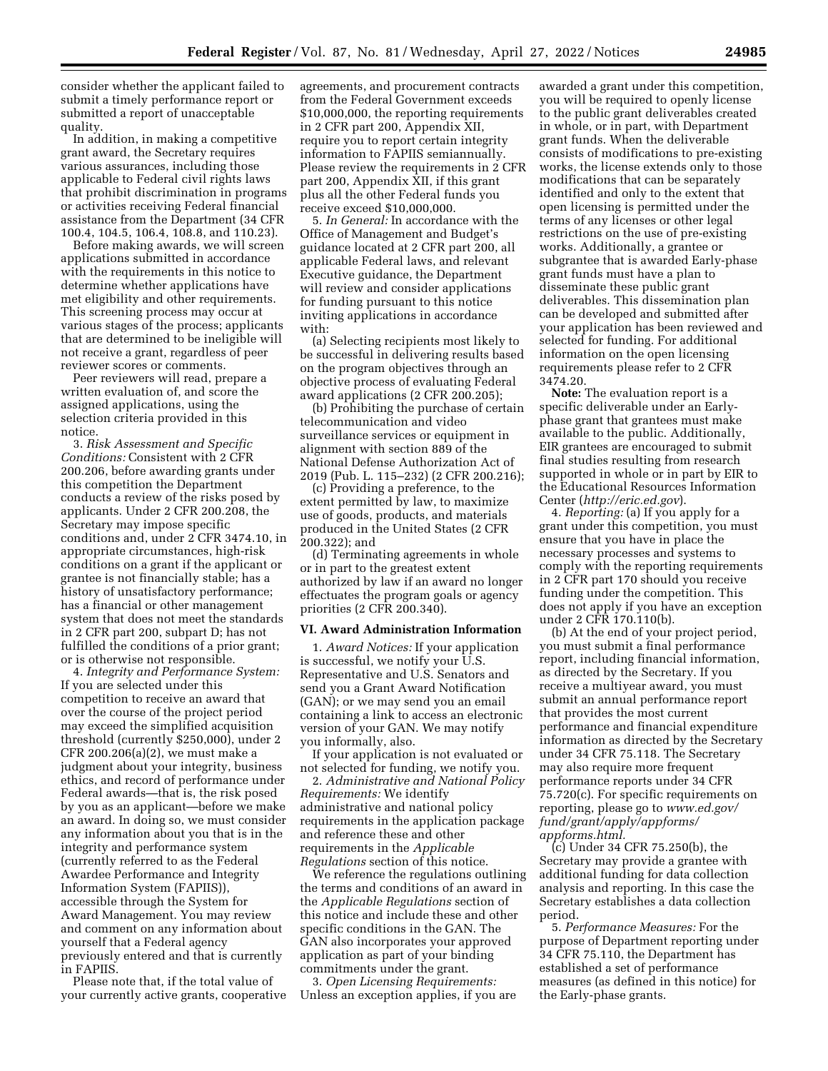consider whether the applicant failed to submit a timely performance report or submitted a report of unacceptable quality.

In addition, in making a competitive grant award, the Secretary requires various assurances, including those applicable to Federal civil rights laws that prohibit discrimination in programs or activities receiving Federal financial assistance from the Department (34 CFR 100.4, 104.5, 106.4, 108.8, and 110.23).

Before making awards, we will screen applications submitted in accordance with the requirements in this notice to determine whether applications have met eligibility and other requirements. This screening process may occur at various stages of the process; applicants that are determined to be ineligible will not receive a grant, regardless of peer reviewer scores or comments.

Peer reviewers will read, prepare a written evaluation of, and score the assigned applications, using the selection criteria provided in this notice.

3. *Risk Assessment and Specific Conditions:* Consistent with 2 CFR 200.206, before awarding grants under this competition the Department conducts a review of the risks posed by applicants. Under 2 CFR 200.208, the Secretary may impose specific conditions and, under 2 CFR 3474.10, in appropriate circumstances, high-risk conditions on a grant if the applicant or grantee is not financially stable; has a history of unsatisfactory performance; has a financial or other management system that does not meet the standards in 2 CFR part 200, subpart D; has not fulfilled the conditions of a prior grant; or is otherwise not responsible.

4. *Integrity and Performance System:*  If you are selected under this competition to receive an award that over the course of the project period may exceed the simplified acquisition threshold (currently \$250,000), under 2 CFR 200.206(a)(2), we must make a judgment about your integrity, business ethics, and record of performance under Federal awards—that is, the risk posed by you as an applicant—before we make an award. In doing so, we must consider any information about you that is in the integrity and performance system (currently referred to as the Federal Awardee Performance and Integrity Information System (FAPIIS)), accessible through the System for Award Management. You may review and comment on any information about yourself that a Federal agency previously entered and that is currently in FAPIIS.

Please note that, if the total value of your currently active grants, cooperative agreements, and procurement contracts from the Federal Government exceeds \$10,000,000, the reporting requirements in 2 CFR part 200, Appendix XII, require you to report certain integrity information to FAPIIS semiannually. Please review the requirements in 2 CFR part 200, Appendix XII, if this grant plus all the other Federal funds you receive exceed \$10,000,000.

5. *In General:* In accordance with the Office of Management and Budget's guidance located at 2 CFR part 200, all applicable Federal laws, and relevant Executive guidance, the Department will review and consider applications for funding pursuant to this notice inviting applications in accordance with:

(a) Selecting recipients most likely to be successful in delivering results based on the program objectives through an objective process of evaluating Federal award applications (2 CFR 200.205);

(b) Prohibiting the purchase of certain telecommunication and video surveillance services or equipment in alignment with section 889 of the National Defense Authorization Act of 2019 (Pub. L. 115–232) (2 CFR 200.216);

(c) Providing a preference, to the extent permitted by law, to maximize use of goods, products, and materials produced in the United States (2 CFR 200.322); and

(d) Terminating agreements in whole or in part to the greatest extent authorized by law if an award no longer effectuates the program goals or agency priorities (2 CFR 200.340).

#### **VI. Award Administration Information**

1. *Award Notices:* If your application is successful, we notify your U.S. Representative and U.S. Senators and send you a Grant Award Notification (GAN); or we may send you an email containing a link to access an electronic version of your GAN. We may notify you informally, also.

If your application is not evaluated or not selected for funding, we notify you.

2. *Administrative and National Policy Requirements:* We identify administrative and national policy requirements in the application package and reference these and other requirements in the *Applicable Regulations* section of this notice.

We reference the regulations outlining the terms and conditions of an award in the *Applicable Regulations* section of this notice and include these and other specific conditions in the GAN. The GAN also incorporates your approved application as part of your binding commitments under the grant.

3. *Open Licensing Requirements:*  Unless an exception applies, if you are

awarded a grant under this competition, you will be required to openly license to the public grant deliverables created in whole, or in part, with Department grant funds. When the deliverable consists of modifications to pre-existing works, the license extends only to those modifications that can be separately identified and only to the extent that open licensing is permitted under the terms of any licenses or other legal restrictions on the use of pre-existing works. Additionally, a grantee or subgrantee that is awarded Early-phase grant funds must have a plan to disseminate these public grant deliverables. This dissemination plan can be developed and submitted after your application has been reviewed and selected for funding. For additional information on the open licensing requirements please refer to 2 CFR 3474.20.

**Note:** The evaluation report is a specific deliverable under an Earlyphase grant that grantees must make available to the public. Additionally, EIR grantees are encouraged to submit final studies resulting from research supported in whole or in part by EIR to the Educational Resources Information Center (*<http://eric.ed.gov>*).

4. *Reporting:* (a) If you apply for a grant under this competition, you must ensure that you have in place the necessary processes and systems to comply with the reporting requirements in 2 CFR part 170 should you receive funding under the competition. This does not apply if you have an exception under 2 CFR 170.110(b).

(b) At the end of your project period, you must submit a final performance report, including financial information, as directed by the Secretary. If you receive a multiyear award, you must submit an annual performance report that provides the most current performance and financial expenditure information as directed by the Secretary under 34 CFR 75.118. The Secretary may also require more frequent performance reports under 34 CFR 75.720(c). For specific requirements on reporting, please go to *[www.ed.gov/](http://www.ed.gov/fund/grant/apply/appforms/appforms.html) [fund/grant/apply/appforms/](http://www.ed.gov/fund/grant/apply/appforms/appforms.html) [appforms.html.](http://www.ed.gov/fund/grant/apply/appforms/appforms.html)* 

(c) Under 34 CFR 75.250(b), the Secretary may provide a grantee with additional funding for data collection analysis and reporting. In this case the Secretary establishes a data collection period.

5. *Performance Measures:* For the purpose of Department reporting under 34 CFR 75.110, the Department has established a set of performance measures (as defined in this notice) for the Early-phase grants.